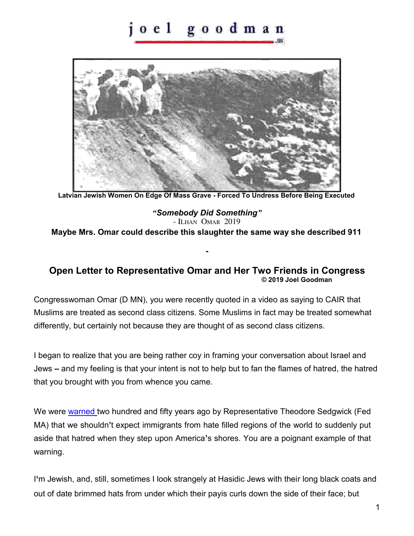## oel goodman



**Latvian Jewish Women On Edge Of Mass Grave - Forced To Undress Before Being Executed** 

*"Somebody Did Something"* - ILHAN OMAR 2019 **Maybe Mrs. Omar could describe this slaughter the same way she described 911** 

## **Open Letter to Representative Omar and Her Two Friends in Congress © 2019 Joel Goodman**

**-** 

Congresswoman Omar (D MN), you were recently quoted in a video as saying to CAIR that Muslims are treated as second class citizens. Some Muslims in fact may be treated somewhat differently, but certainly not because they are thought of as second class citizens.

I began to realize that you are being rather coy in framing your conversation about Israel and Jews **–** and my feeling is that your intent is not to help but to fan the flames of hatred, the hatred that you brought with you from whence you came.

We were [warned t](http://joelgoodman.us/links_history/naturalization-debate-05011005.pdf)wo hundred and fifty years ago by Representative Theodore Sedgwick (Fed MA) that we shouldn**'**t expect immigrants from hate filled regions of the world to suddenly put aside that hatred when they step upon America**'**s shores. You are a poignant example of that warning.

I**'**m Jewish, and, still, sometimes I look strangely at Hasidic Jews with their long black coats and out of date brimmed hats from under which their payis curls down the side of their face; but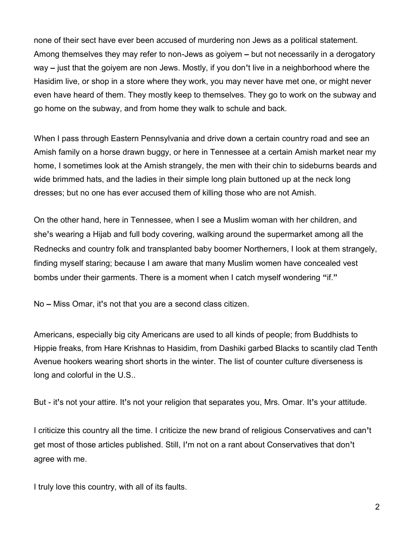none of their sect have ever been accused of murdering non Jews as a political statement. Among themselves they may refer to non-Jews as goiyem **–** but not necessarily in a derogatory way **–** just that the goiyem are non Jews. Mostly, if you don**'**t live in a neighborhood where the Hasidim live, or shop in a store where they work, you may never have met one, or might never even have heard of them. They mostly keep to themselves. They go to work on the subway and go home on the subway, and from home they walk to schule and back.

When I pass through Eastern Pennsylvania and drive down a certain country road and see an Amish family on a horse drawn buggy, or here in Tennessee at a certain Amish market near my home, I sometimes look at the Amish strangely, the men with their chin to sideburns beards and wide brimmed hats, and the ladies in their simple long plain buttoned up at the neck long dresses; but no one has ever accused them of killing those who are not Amish.

On the other hand, here in Tennessee, when I see a Muslim woman with her children, and she**'**s wearing a Hijab and full body covering, walking around the supermarket among all the Rednecks and country folk and transplanted baby boomer Northerners, I look at them strangely, finding myself staring; because I am aware that many Muslim women have concealed vest bombs under their garments. There is a moment when I catch myself wondering **"**if.**"**

No **–** Miss Omar, it**'**s not that you are a second class citizen.

Americans, especially big city Americans are used to all kinds of people; from Buddhists to Hippie freaks, from Hare Krishnas to Hasidim, from Dashiki garbed Blacks to scantily clad Tenth Avenue hookers wearing short shorts in the winter. The list of counter culture diverseness is long and colorful in the U.S..

But - it**'**s not your attire. It**'**s not your religion that separates you, Mrs. Omar. It**'**s your attitude.

I criticize this country all the time. I criticize the new brand of religious Conservatives and can**'**t get most of those articles published. Still, I**'**m not on a rant about Conservatives that don**'**t agree with me.

I truly love this country, with all of its faults.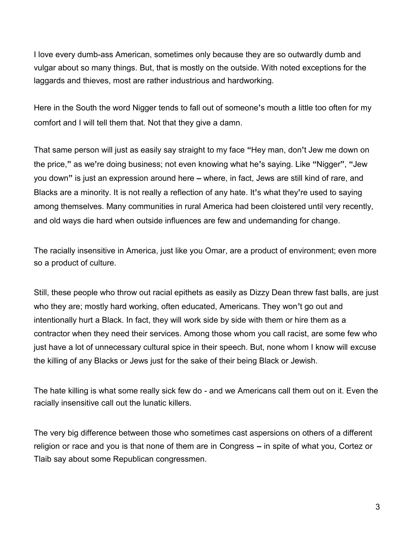I love every dumb-ass American, sometimes only because they are so outwardly dumb and vulgar about so many things. But, that is mostly on the outside. With noted exceptions for the laggards and thieves, most are rather industrious and hardworking.

Here in the South the word Nigger tends to fall out of someone**'**s mouth a little too often for my comfort and I will tell them that. Not that they give a damn.

That same person will just as easily say straight to my face **"**Hey man, don**'**t Jew me down on the price,**"** as we**'**re doing business; not even knowing what he**'**s saying. Like **"**Nigger**"**, **"**Jew you down**"** is just an expression around here **–** where, in fact, Jews are still kind of rare, and Blacks are a minority. It is not really a reflection of any hate. It**'**s what they**'**re used to saying among themselves. Many communities in rural America had been cloistered until very recently, and old ways die hard when outside influences are few and undemanding for change.

The racially insensitive in America, just like you Omar, are a product of environment; even more so a product of culture.

Still, these people who throw out racial epithets as easily as Dizzy Dean threw fast balls, are just who they are; mostly hard working, often educated, Americans. They won**'**t go out and intentionally hurt a Black. In fact, they will work side by side with them or hire them as a contractor when they need their services. Among those whom you call racist, are some few who just have a lot of unnecessary cultural spice in their speech. But, none whom I know will excuse the killing of any Blacks or Jews just for the sake of their being Black or Jewish.

The hate killing is what some really sick few do - and we Americans call them out on it. Even the racially insensitive call out the lunatic killers.

The very big difference between those who sometimes cast aspersions on others of a different religion or race and you is that none of them are in Congress **–** in spite of what you, Cortez or Tlaib say about some Republican congressmen.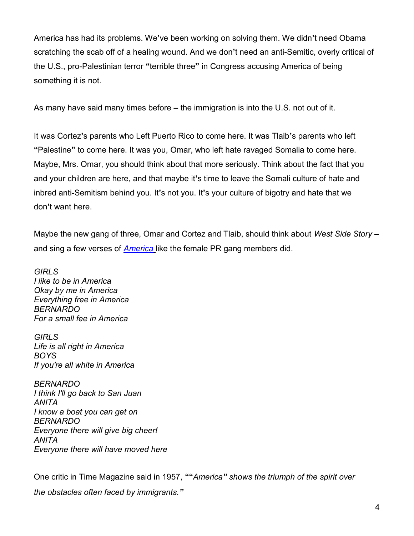America has had its problems. We**'**ve been working on solving them. We didn**'**t need Obama scratching the scab off of a healing wound. And we don**'**t need an anti-Semitic, overly critical of the U.S., pro-Palestinian terror **"**terrible three**"** in Congress accusing America of being something it is not.

As many have said many times before **–** the immigration is into the U.S. not out of it.

It was Cortez**'**s parents who Left Puerto Rico to come here. It was Tlaib**'**s parents who left **"**Palestine**"** to come here. It was you, Omar, who left hate ravaged Somalia to come here. Maybe, Mrs. Omar, you should think about that more seriously. Think about the fact that you and your children are here, and that maybe it**'**s time to leave the Somali culture of hate and inbred anti-Semitism behind you. It**'**s not you. It**'**s your culture of bigotry and hate that we don**'**t want here.

Maybe the new gang of three, Omar and Cortez and Tlaib, should think about *West Side Story* **–** and sing a few verses of *[America](https://www.youtube.com/watch?v=Lrl7NG93ESQ)* like the female PR gang members did.

*GIRLS I like to be in America Okay by me in America Everything free in America BERNARDO For a small fee in America* 

*GIRLS Life is all right in America BOYS If you're all white in America* 

*BERNARDO I think I'll go back to San Juan ANITA I know a boat you can get on BERNARDO Everyone there will give big cheer! ANITA Everyone there will have moved here* 

One critic in Time Magazine said in 1957, **""***America" shows the triumph of the spirit over the obstacles often faced by immigrants."*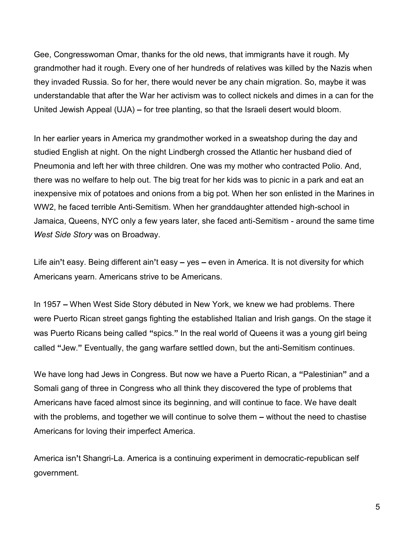Gee, Congresswoman Omar, thanks for the old news, that immigrants have it rough. My grandmother had it rough. Every one of her hundreds of relatives was killed by the Nazis when they invaded Russia. So for her, there would never be any chain migration. So, maybe it was understandable that after the War her activism was to collect nickels and dimes in a can for the United Jewish Appeal (UJA) **–** for tree planting, so that the Israeli desert would bloom.

In her earlier years in America my grandmother worked in a sweatshop during the day and studied English at night. On the night Lindbergh crossed the Atlantic her husband died of Pneumonia and left her with three children. One was my mother who contracted Polio. And, there was no welfare to help out. The big treat for her kids was to picnic in a park and eat an inexpensive mix of potatoes and onions from a big pot. When her son enlisted in the Marines in WW2, he faced terrible Anti-Semitism. When her granddaughter attended high-school in Jamaica, Queens, NYC only a few years later, she faced anti-Semitism - around the same time *West Side Story* was on Broadway.

Life ain**'**t easy. Being different ain**'**t easy **–** yes **–** even in America. It is not diversity for which Americans yearn. Americans strive to be Americans.

In 1957 **–** When West Side Story débuted in New York, we knew we had problems. There were Puerto Rican street gangs fighting the established Italian and Irish gangs. On the stage it was Puerto Ricans being called **"**spics.**"** In the real world of Queens it was a young girl being called **"**Jew.**"** Eventually, the gang warfare settled down, but the anti-Semitism continues.

We have long had Jews in Congress. But now we have a Puerto Rican, a **"**Palestinian**"** and a Somali gang of three in Congress who all think they discovered the type of problems that Americans have faced almost since its beginning, and will continue to face. We have dealt with the problems, and together we will continue to solve them **–** without the need to chastise Americans for loving their imperfect America.

America isn**'**t Shangri-La. America is a continuing experiment in democratic-republican self government.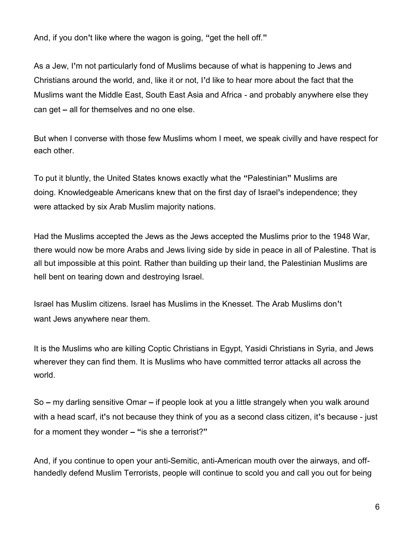And, if you don**'**t like where the wagon is going, **"**get the hell off.**"**

As a Jew, I**'**m not particularly fond of Muslims because of what is happening to Jews and Christians around the world, and, like it or not, I**'**d like to hear more about the fact that the Muslims want the Middle East, South East Asia and Africa - and probably anywhere else they can get **–** all for themselves and no one else.

But when I converse with those few Muslims whom I meet, we speak civilly and have respect for each other.

To put it bluntly, the United States knows exactly what the **"**Palestinian**"** Muslims are doing. Knowledgeable Americans knew that on the first day of Israel**'**s independence; they were attacked by six Arab Muslim majority nations.

Had the Muslims accepted the Jews as the Jews accepted the Muslims prior to the 1948 War, there would now be more Arabs and Jews living side by side in peace in all of Palestine. That is all but impossible at this point. Rather than building up their land, the Palestinian Muslims are hell bent on tearing down and destroying Israel.

Israel has Muslim citizens. Israel has Muslims in the Knesset. The Arab Muslims don**'**t want Jews anywhere near them.

It is the Muslims who are killing Coptic Christians in Egypt, Yasidi Christians in Syria, and Jews wherever they can find them. It is Muslims who have committed terror attacks all across the world.

So **–** my darling sensitive Omar **–** if people look at you a little strangely when you walk around with a head scarf, it**'**s not because they think of you as a second class citizen, it**'**s because - just for a moment they wonder **– "**is she a terrorist?**"**

And, if you continue to open your anti-Semitic, anti-American mouth over the airways, and offhandedly defend Muslim Terrorists, people will continue to scold you and call you out for being